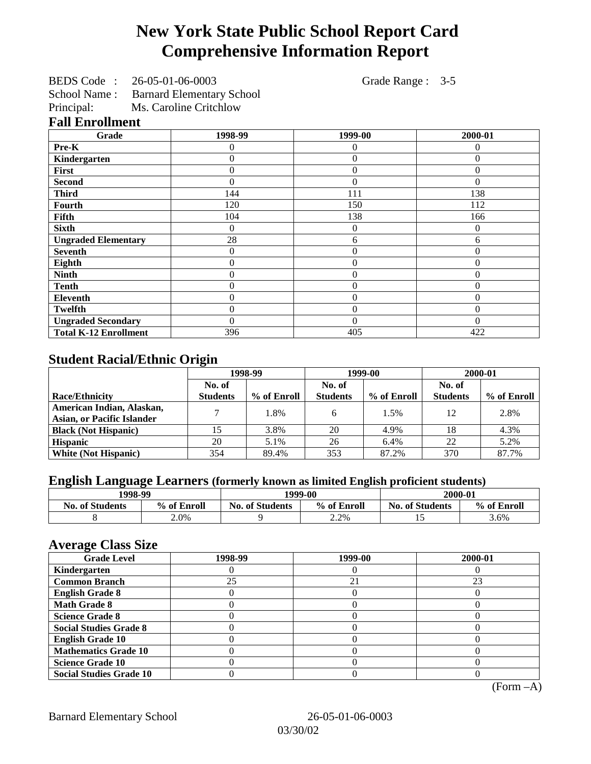# **New York State Public School Report Card Comprehensive Information Report**

| BEDS Code: | 26-05-01-06-0003 | Grade Range : 3-5 |  |
|------------|------------------|-------------------|--|
|            |                  |                   |  |

School Name : Barnard Elementary School

Principal: Ms. Caroline Critchlow

|  | <b>Fall Enrollment</b> |  |
|--|------------------------|--|
|--|------------------------|--|

| Grade                        | 1998-99  | 1999-00          | 2000-01  |
|------------------------------|----------|------------------|----------|
| Pre-K                        | 0        | $\Omega$         | 0        |
| Kindergarten                 | 0        | $\overline{0}$   | $\Omega$ |
| First                        | 0        | $\theta$         | 0        |
| <b>Second</b>                | 0        | $\theta$         | 0        |
| <b>Third</b>                 | 144      | 111              | 138      |
| <b>Fourth</b>                | 120      | 150              | 112      |
| Fifth                        | 104      | 138              | 166      |
| <b>Sixth</b>                 | 0        | $\boldsymbol{0}$ | $\theta$ |
| <b>Ungraded Elementary</b>   | 28       | 6                | 6        |
| <b>Seventh</b>               | 0        | $\theta$         | $\Omega$ |
| Eighth                       | 0        | $\theta$         | $\theta$ |
| <b>Ninth</b>                 | 0        | $\overline{0}$   | $\theta$ |
| <b>Tenth</b>                 | 0        | $\overline{0}$   | $\theta$ |
| <b>Eleventh</b>              | 0        | $\theta$         | $\Omega$ |
| <b>Twelfth</b>               | 0        | $\theta$         | $\Omega$ |
| <b>Ungraded Secondary</b>    | $\theta$ | $\theta$         | $\Omega$ |
| <b>Total K-12 Enrollment</b> | 396      | 405              | 422      |

# **Student Racial/Ethnic Origin**

|                                                                | 1998-99         |             | 1999-00         |             | 2000-01         |             |
|----------------------------------------------------------------|-----------------|-------------|-----------------|-------------|-----------------|-------------|
|                                                                | No. of          |             | No. of          |             | No. of          |             |
| <b>Race/Ethnicity</b>                                          | <b>Students</b> | % of Enroll | <b>Students</b> | % of Enroll | <b>Students</b> | % of Enroll |
| American Indian, Alaskan,<br><b>Asian, or Pacific Islander</b> |                 | 1.8%        |                 | 1.5%        | 12              | 2.8%        |
| <b>Black (Not Hispanic)</b>                                    |                 | 3.8%        | 20              | 4.9%        | 18              | 4.3%        |
| <b>Hispanic</b>                                                | 20              | 5.1%        | 26              | 6.4%        | 22              | 5.2%        |
| <b>White (Not Hispanic)</b>                                    | 354             | 89.4%       | 353             | 87.2%       | 370             | 87.7%       |

# **English Language Learners (formerly known as limited English proficient students)**

| 1998-99                |             | 1999-00                |             | 2000-01                |             |
|------------------------|-------------|------------------------|-------------|------------------------|-------------|
| <b>No. of Students</b> | % of Enroll | <b>No. of Students</b> | % of Enroll | <b>No. of Students</b> | % of Enroll |
|                        | 2.0%        |                        | 2.2%        | -                      | 3.6%        |

### **Average Class Size**

| ---- <del>--</del> -<br><b>Grade Level</b> | 1998-99 | 1999-00 | 2000-01 |
|--------------------------------------------|---------|---------|---------|
| Kindergarten                               |         |         |         |
| <b>Common Branch</b>                       | 25      | 21      | 23      |
| <b>English Grade 8</b>                     |         |         |         |
| <b>Math Grade 8</b>                        |         |         |         |
| <b>Science Grade 8</b>                     |         |         |         |
| <b>Social Studies Grade 8</b>              |         |         |         |
| <b>English Grade 10</b>                    |         |         |         |
| <b>Mathematics Grade 10</b>                |         |         |         |
| <b>Science Grade 10</b>                    |         |         |         |
| <b>Social Studies Grade 10</b>             |         |         |         |

(Form –A)